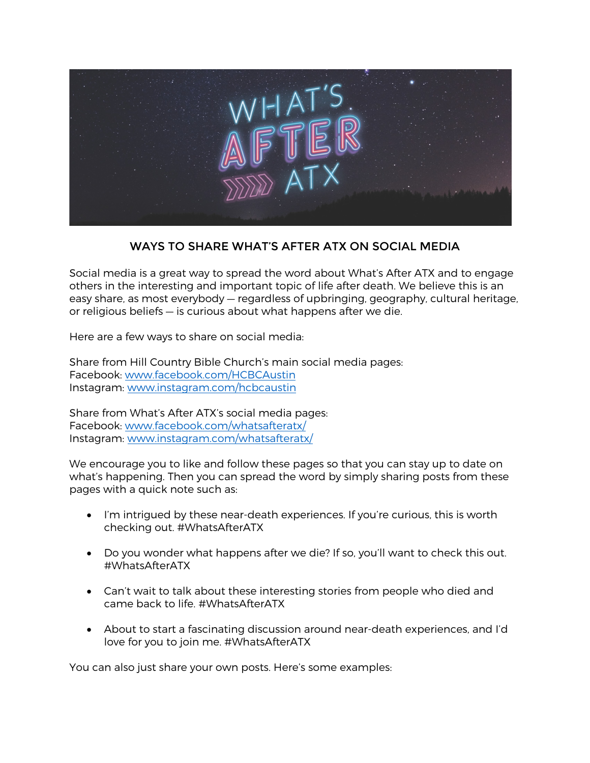

## WAYS TO SHARE WHAT'S AFTER ATX ON SOCIAL MEDIA

Social media is a great way to spread the word about What's After ATX and to engage others in the interesting and important topic of life after death. We believe this is an easy share, as most everybody — regardless of upbringing, geography, cultural heritage, or religious beliefs — is curious about what happens after we die.

Here are a few ways to share on social media:

Share from Hill Country Bible Church's main social media pages: Facebook: [www.facebook.com/HCBCAustin](https://www.facebook.com/HCBCAustin/) Instagram: [www.instagram.com/hcbcaustin](https://www.instagram.com/hcbcaustin/)

Share from What's After ATX's social media pages: Facebook: [www.facebook.com/whatsafteratx/](https://www.facebook.com/whatsafteratx/) Instagram: [www.instagram.com/whatsafteratx/](https://www.instagram.com/whatsafteratx/)

We encourage you to like and follow these pages so that you can stay up to date on what's happening. Then you can spread the word by simply sharing posts from these pages with a quick note such as:

- I'm intrigued by these near-death experiences. If you're curious, this is worth checking out. #WhatsAfterATX
- Do you wonder what happens after we die? If so, you'll want to check this out. #WhatsAfterATX
- Can't wait to talk about these interesting stories from people who died and came back to life. #WhatsAfterATX
- About to start a fascinating discussion around near-death experiences, and I'd love for you to join me. #WhatsAfterATX

You can also just share your own posts. Here's some examples: